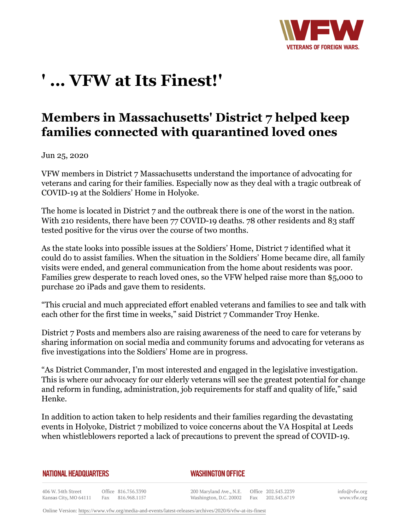

## **' ... VFW at Its Finest!'**

## **Members in Massachusetts' District 7 helped keep families connected with quarantined loved ones**

Jun 25, 2020

VFW members in District 7 Massachusetts understand the importance of advocating for veterans and caring for their families. Especially now as they deal with a tragic outbreak of COVID-19 at the Soldiers' Home in Holyoke.

The home is located in District 7 and the outbreak there is one of the worst in the nation. With 210 residents, there have been 77 COVID-19 deaths. 78 other residents and 83 staff tested positive for the virus over the course of two months.

As the state looks into possible issues at the Soldiers' Home, District 7 identified what it could do to assist families. When the situation in the Soldiers' Home became dire, all family visits were ended, and general communication from the home about residents was poor. Families grew desperate to reach loved ones, so the VFW helped raise more than \$5,000 to purchase 20 iPads and gave them to residents.

"This crucial and much appreciated effort enabled veterans and families to see and talk with each other for the first time in weeks," said District 7 Commander Troy Henke.

District 7 Posts and members also are raising awareness of the need to care for veterans by sharing information on social media and community forums and advocating for veterans as five investigations into the Soldiers' Home are in progress.

"As District Commander, I'm most interested and engaged in the legislative investigation. This is where our advocacy for our elderly veterans will see the greatest potential for change and reform in funding, administration, job requirements for staff and quality of life," said Henke.

In addition to action taken to help residents and their families regarding the devastating events in Holyoke, District 7 mobilized to voice concerns about the VA Hospital at Leeds when whistleblowers reported a lack of precautions to prevent the spread of COVID-19.

## **NATIONAL HEADQUARTERS**

## *WASHINGTON OFFICE*

406 W. 34th Street Office 816.756.3390 Kansas City, MO 64111 Fax 816.968.1157

200 Maryland Ave., N.E. Washington, D.C. 20002

Office 202.543.2239 Fax 202.543.6719